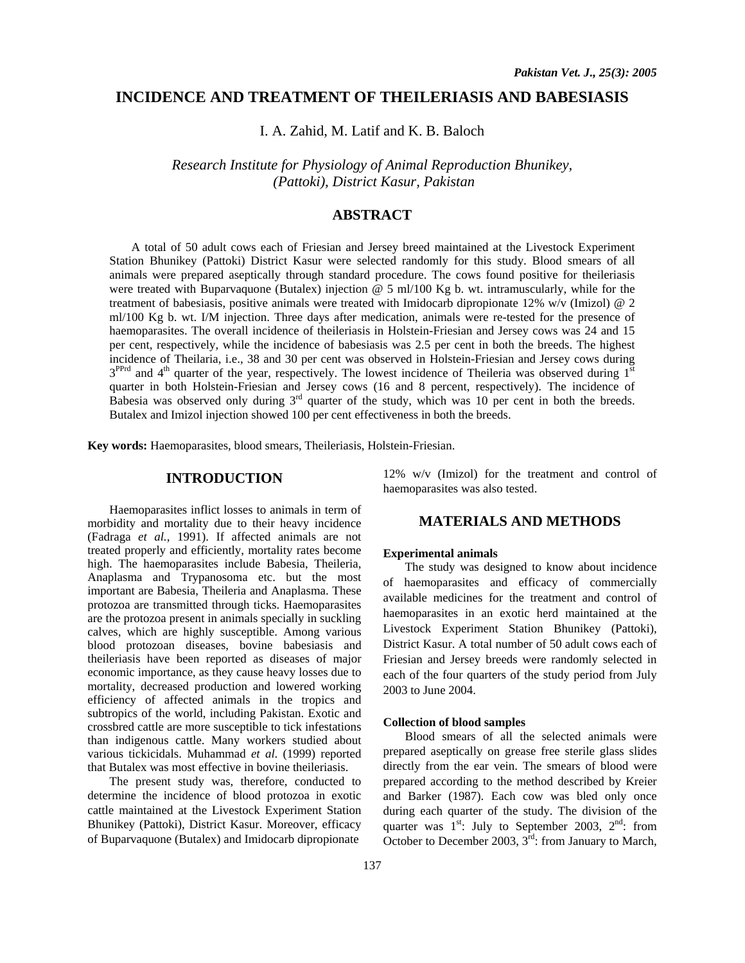## **INCIDENCE AND TREATMENT OF THEILERIASIS AND BABESIASIS**

I. A. Zahid, M. Latif and K. B. Baloch

*Research Institute for Physiology of Animal Reproduction Bhunikey, (Pattoki), District Kasur, Pakistan* 

# **ABSTRACT**

A total of 50 adult cows each of Friesian and Jersey breed maintained at the Livestock Experiment Station Bhunikey (Pattoki) District Kasur were selected randomly for this study. Blood smears of all animals were prepared aseptically through standard procedure. The cows found positive for theileriasis were treated with Buparvaquone (Butalex) injection @ 5 ml/100 Kg b. wt. intramuscularly, while for the treatment of babesiasis, positive animals were treated with Imidocarb dipropionate 12% w/v (Imizol) @ 2 ml/100 Kg b. wt. I/M injection. Three days after medication, animals were re-tested for the presence of haemoparasites. The overall incidence of theileriasis in Holstein-Friesian and Jersey cows was 24 and 15 per cent, respectively, while the incidence of babesiasis was 2.5 per cent in both the breeds. The highest incidence of Theilaria, i.e., 38 and 30 per cent was observed in Holstein-Friesian and Jersey cows during  $3^{PPrd}$  and  $4^{th}$  quarter of the year, respectively. The lowest incidence of Theileria was observed during  $1^{st}$ quarter in both Holstein-Friesian and Jersey cows (16 and 8 percent, respectively). The incidence of Babesia was observed only during  $3<sup>rd</sup>$  quarter of the study, which was 10 per cent in both the breeds. Butalex and Imizol injection showed 100 per cent effectiveness in both the breeds.

**Key words:** Haemoparasites, blood smears, Theileriasis, Holstein-Friesian.

### **INTRODUCTION**

Haemoparasites inflict losses to animals in term of morbidity and mortality due to their heavy incidence (Fadraga *et al.,* 1991). If affected animals are not treated properly and efficiently, mortality rates become high. The haemoparasites include Babesia, Theileria, Anaplasma and Trypanosoma etc. but the most important are Babesia, Theileria and Anaplasma. These protozoa are transmitted through ticks. Haemoparasites are the protozoa present in animals specially in suckling calves, which are highly susceptible. Among various blood protozoan diseases, bovine babesiasis and theileriasis have been reported as diseases of major economic importance, as they cause heavy losses due to mortality, decreased production and lowered working efficiency of affected animals in the tropics and subtropics of the world, including Pakistan. Exotic and crossbred cattle are more susceptible to tick infestations than indigenous cattle. Many workers studied about various tickicidals. Muhammad *et al*. (1999) reported that Butalex was most effective in bovine theileriasis.

The present study was, therefore, conducted to determine the incidence of blood protozoa in exotic cattle maintained at the Livestock Experiment Station Bhunikey (Pattoki), District Kasur. Moreover, efficacy of Buparvaquone (Butalex) and Imidocarb dipropionate

12% w/v (Imizol) for the treatment and control of haemoparasites was also tested.

## **MATERIALS AND METHODS**

#### **Experimental animals**

The study was designed to know about incidence of haemoparasites and efficacy of commercially available medicines for the treatment and control of haemoparasites in an exotic herd maintained at the Livestock Experiment Station Bhunikey (Pattoki), District Kasur. A total number of 50 adult cows each of Friesian and Jersey breeds were randomly selected in each of the four quarters of the study period from July 2003 to June 2004.

### **Collection of blood samples**

Blood smears of all the selected animals were prepared aseptically on grease free sterile glass slides directly from the ear vein. The smears of blood were prepared according to the method described by Kreier and Barker (1987). Each cow was bled only once during each quarter of the study. The division of the quarter was  $1^{st}$ : July to September 2003,  $2^{nd}$ : from October to December 2003,  $3^{\text{rd}}$ : from January to March,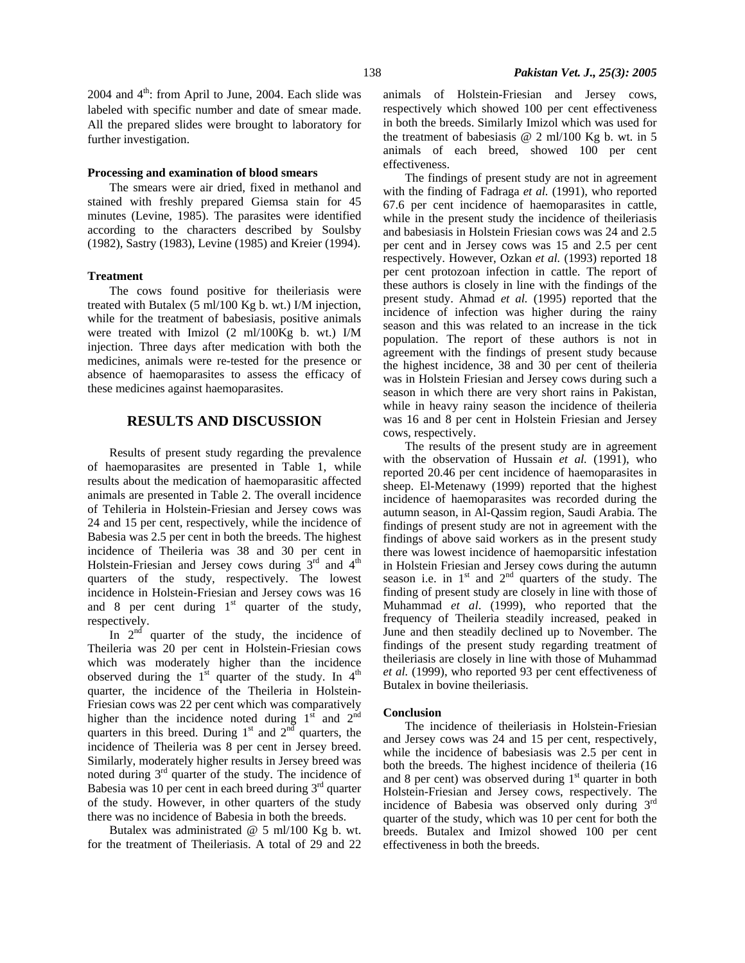2004 and  $4<sup>th</sup>$ : from April to June, 2004. Each slide was labeled with specific number and date of smear made. All the prepared slides were brought to laboratory for further investigation.

### **Processing and examination of blood smears**

The smears were air dried, fixed in methanol and stained with freshly prepared Giemsa stain for 45 minutes (Levine, 1985). The parasites were identified according to the characters described by Soulsby (1982), Sastry (1983), Levine (1985) and Kreier (1994).

### **Treatment**

The cows found positive for theileriasis were treated with Butalex (5 ml/100 Kg b. wt.) I/M injection, while for the treatment of babesiasis, positive animals were treated with Imizol (2 ml/100Kg b. wt.) I/M injection. Three days after medication with both the medicines, animals were re-tested for the presence or absence of haemoparasites to assess the efficacy of these medicines against haemoparasites.

# **RESULTS AND DISCUSSION**

Results of present study regarding the prevalence of haemoparasites are presented in Table 1, while results about the medication of haemoparasitic affected animals are presented in Table 2. The overall incidence of Tehileria in Holstein-Friesian and Jersey cows was 24 and 15 per cent, respectively, while the incidence of Babesia was 2.5 per cent in both the breeds. The highest incidence of Theileria was 38 and 30 per cent in Holstein-Friesian and Jersey cows during  $3<sup>rd</sup>$  and  $4<sup>th</sup>$ quarters of the study, respectively. The lowest incidence in Holstein-Friesian and Jersey cows was 16 and 8 per cent during  $1<sup>st</sup>$  quarter of the study, respectively.

In  $2<sup>nd</sup>$  quarter of the study, the incidence of Theileria was 20 per cent in Holstein-Friesian cows which was moderately higher than the incidence observed during the  $1<sup>st</sup>$  quarter of the study. In  $4<sup>th</sup>$ quarter, the incidence of the Theileria in Holstein-Friesian cows was 22 per cent which was comparatively higher than the incidence noted during  $1<sup>st</sup>$  and  $2<sup>nd</sup>$ quarters in this breed. During  $1<sup>st</sup>$  and  $2<sup>nd</sup>$  quarters, the incidence of Theileria was 8 per cent in Jersey breed. Similarly, moderately higher results in Jersey breed was noted during 3rd quarter of the study. The incidence of Babesia was 10 per cent in each breed during  $3<sup>rd</sup>$  quarter of the study. However, in other quarters of the study there was no incidence of Babesia in both the breeds.

Butalex was administrated @ 5 ml/100 Kg b. wt. for the treatment of Theileriasis. A total of 29 and 22 animals of Holstein-Friesian and Jersey cows, respectively which showed 100 per cent effectiveness in both the breeds. Similarly Imizol which was used for the treatment of babesiasis  $@$  2 ml/100 Kg b. wt. in 5 animals of each breed, showed 100 per cent effectiveness.

The findings of present study are not in agreement with the finding of Fadraga *et al.* (1991), who reported 67.6 per cent incidence of haemoparasites in cattle, while in the present study the incidence of theileriasis and babesiasis in Holstein Friesian cows was 24 and 2.5 per cent and in Jersey cows was 15 and 2.5 per cent respectively. However, Ozkan *et al.* (1993) reported 18 per cent protozoan infection in cattle. The report of these authors is closely in line with the findings of the present study. Ahmad *et al.* (1995) reported that the incidence of infection was higher during the rainy season and this was related to an increase in the tick population. The report of these authors is not in agreement with the findings of present study because the highest incidence, 38 and 30 per cent of theileria was in Holstein Friesian and Jersey cows during such a season in which there are very short rains in Pakistan, while in heavy rainy season the incidence of theileria was 16 and 8 per cent in Holstein Friesian and Jersey cows, respectively.

The results of the present study are in agreement with the observation of Hussain *et al.* (1991), who reported 20.46 per cent incidence of haemoparasites in sheep. El-Metenawy (1999) reported that the highest incidence of haemoparasites was recorded during the autumn season, in Al-Qassim region, Saudi Arabia. The findings of present study are not in agreement with the findings of above said workers as in the present study there was lowest incidence of haemoparsitic infestation in Holstein Friesian and Jersey cows during the autumn season i.e. in  $1<sup>st</sup>$  and  $2<sup>nd</sup>$  quarters of the study. The finding of present study are closely in line with those of Muhammad *et al*. (1999), who reported that the frequency of Theileria steadily increased, peaked in June and then steadily declined up to November. The findings of the present study regarding treatment of theileriasis are closely in line with those of Muhammad *et al.* (1999), who reported 93 per cent effectiveness of Butalex in bovine theileriasis.

#### **Conclusion**

The incidence of theileriasis in Holstein-Friesian and Jersey cows was 24 and 15 per cent, respectively, while the incidence of babesiasis was 2.5 per cent in both the breeds. The highest incidence of theileria (16 and 8 per cent) was observed during  $1<sup>st</sup>$  quarter in both Holstein-Friesian and Jersey cows, respectively. The incidence of Babesia was observed only during 3rd quarter of the study, which was 10 per cent for both the breeds. Butalex and Imizol showed 100 per cent effectiveness in both the breeds.